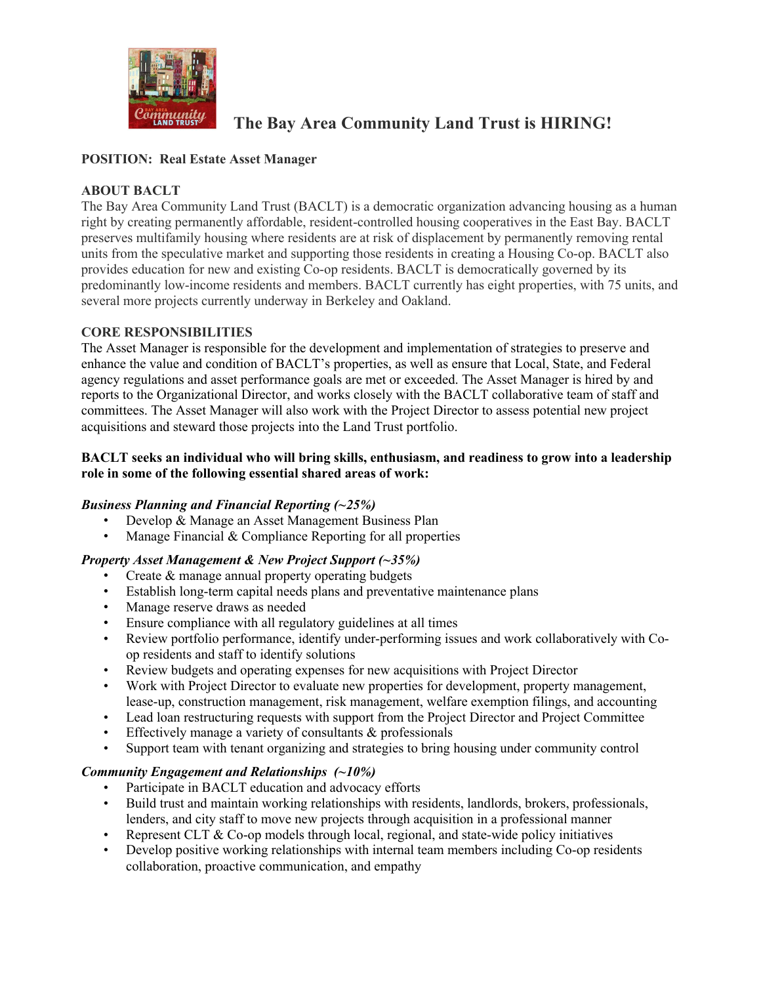

# **The Bay Area Community Land Trust is HIRING!**

# **POSITION: Real Estate Asset Manager**

# **ABOUT BACLT**

The Bay Area Community Land Trust (BACLT) is a democratic organization advancing housing as a human right by creating permanently affordable, resident-controlled housing cooperatives in the East Bay. BACLT preserves multifamily housing where residents are at risk of displacement by permanently removing rental units from the speculative market and supporting those residents in creating a Housing Co-op. BACLT also provides education for new and existing Co-op residents. BACLT is democratically governed by its predominantly low-income residents and members. BACLT currently has eight properties, with 75 units, and several more projects currently underway in Berkeley and Oakland.

## **CORE RESPONSIBILITIES**

The Asset Manager is responsible for the development and implementation of strategies to preserve and enhance the value and condition of BACLT's properties, as well as ensure that Local, State, and Federal agency regulations and asset performance goals are met or exceeded. The Asset Manager is hired by and reports to the Organizational Director, and works closely with the BACLT collaborative team of staff and committees. The Asset Manager will also work with the Project Director to assess potential new project acquisitions and steward those projects into the Land Trust portfolio.

## **BACLT seeks an individual who will bring skills, enthusiasm, and readiness to grow into a leadership role in some of the following essential shared areas of work:**

# *Business Planning and Financial Reporting (~25%)*

- Develop & Manage an Asset Management Business Plan
- Manage Financial  $&$  Compliance Reporting for all properties

#### *Property Asset Management & New Project Support (~35%)*

- Create & manage annual property operating budgets
- Establish long-term capital needs plans and preventative maintenance plans
- Manage reserve draws as needed
- Ensure compliance with all regulatory guidelines at all times
- Review portfolio performance, identify under-performing issues and work collaboratively with Coop residents and staff to identify solutions
- Review budgets and operating expenses for new acquisitions with Project Director
- Work with Project Director to evaluate new properties for development, property management, lease-up, construction management, risk management, welfare exemption filings, and accounting
- Lead loan restructuring requests with support from the Project Director and Project Committee
- Effectively manage a variety of consultants & professionals
- Support team with tenant organizing and strategies to bring housing under community control

#### *Community Engagement and Relationships (~10%)*

- Participate in BACLT education and advocacy efforts
- Build trust and maintain working relationships with residents, landlords, brokers, professionals, lenders, and city staff to move new projects through acquisition in a professional manner
- Represent CLT & Co-op models through local, regional, and state-wide policy initiatives
- Develop positive working relationships with internal team members including Co-op residents collaboration, proactive communication, and empathy